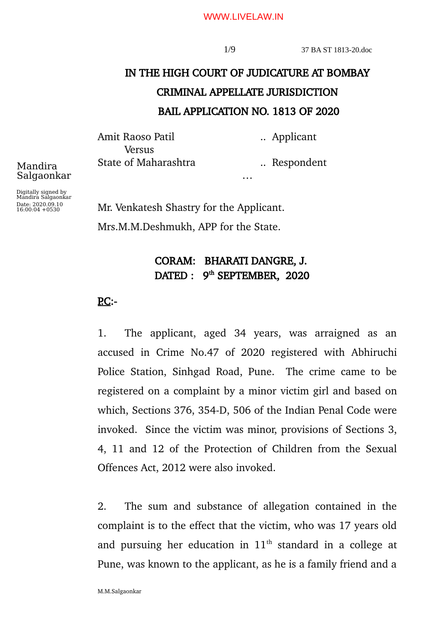#### WWW.LIVELAW.IN

# IN THE HIGH COURT OF JUDICATURE AT BOMBAY CRIMINAL APPELLATE JURISDICTION BAIL APPLICATION NO. 1813 OF 2020

…

Amit Raoso Patil ... Applicant **Versus** 

State of Maharashtra ... Respondent

Digitally signed by Mandira Salgaonkar Date: 2020.09.10 16:00:04 +0530

Mandira Salgaonkar

> Mr. Venkatesh Shastry for the Applicant. Mrs.M.M.Deshmukh, APP for the State.

## CORAM: BHARATI DANGRE, J. DATED : 9<sup>th</sup> SEPTEMBER, 2020

## $PC:$ -

1. The applicant, aged 34 years, was arraigned as an accused in Crime No.47 of 2020 registered with Abhiruchi Police Station, Sinhgad Road, Pune. The crime came to be registered on a complaint by a minor victim girl and based on which, Sections 376, 354-D, 506 of the Indian Penal Code were invoked. Since the victim was minor, provisions of Sections 3, 4, 11 and 12 of the Protection of Children from the Sexual Offences Act, 2012 were also invoked.

2. The sum and substance of allegation contained in the complaint is to the effect that the victim, who was 17 years old and pursuing her education in  $11<sup>th</sup>$  standard in a college at Pune, was known to the applicant, as he is a family friend and a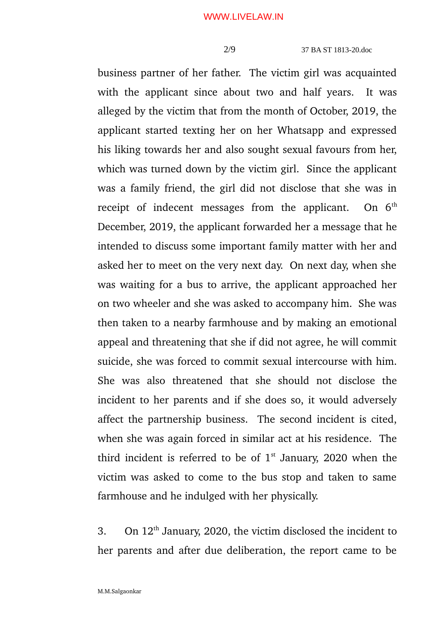2/9 37 BA ST 1813-20.doc

business partner of her father. The victim girl was acquainted with the applicant since about two and half years. It was alleged by the victim that from the month of October, 2019, the applicant started texting her on her Whatsapp and expressed his liking towards her and also sought sexual favours from her, which was turned down by the victim girl. Since the applicant was a family friend, the girl did not disclose that she was in receipt of indecent messages from the applicant. On  $6<sup>th</sup>$ December, 2019, the applicant forwarded her a message that he intended to discuss some important family matter with her and asked her to meet on the very next day. On next day, when she was waiting for a bus to arrive, the applicant approached her on two wheeler and she was asked to accompany him. She was then taken to a nearby farmhouse and by making an emotional appeal and threatening that she if did not agree, he will commit suicide, she was forced to commit sexual intercourse with him. She was also threatened that she should not disclose the incident to her parents and if she does so, it would adversely affect the partnership business. The second incident is cited, when she was again forced in similar act at his residence. The third incident is referred to be of  $1<sup>st</sup>$  January, 2020 when the victim was asked to come to the bus stop and taken to same farmhouse and he indulged with her physically.

3. On  $12<sup>th</sup>$  January, 2020, the victim disclosed the incident to her parents and after due deliberation, the report came to be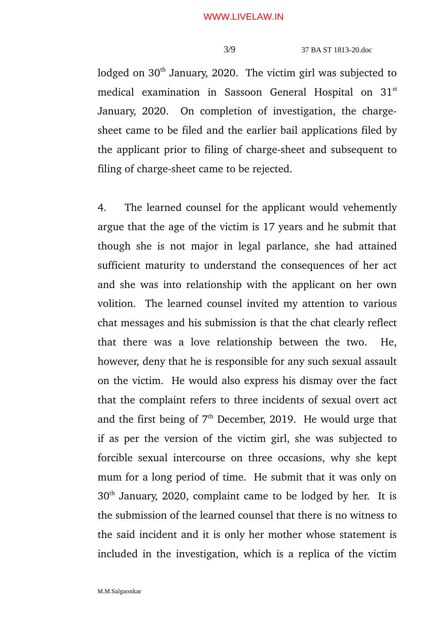lodged on  $30<sup>th</sup>$  January, 2020. The victim girl was subjected to medical examination in Sassoon General Hospital on 31<sup>st</sup> January, 2020. On completion of investigation, the chargesheet came to be filed and the earlier bail applications filed by the applicant prior to filing of charge-sheet and subsequent to filing of charge-sheet came to be rejected.

4. The learned counsel for the applicant would vehemently argue that the age of the victim is 17 years and he submit that though she is not major in legal parlance, she had attained sufficient maturity to understand the consequences of her act and she was into relationship with the applicant on her own volition. The learned counsel invited my attention to various chat messages and his submission is that the chat clearly reflect that there was a love relationship between the two. He, however, deny that he is responsible for any such sexual assault on the victim. He would also express his dismay over the fact that the complaint refers to three incidents of sexual overt act and the first being of  $7<sup>th</sup>$  December, 2019. He would urge that if as per the version of the victim girl, she was subjected to forcible sexual intercourse on three occasions, why she kept mum for a long period of time. He submit that it was only on 30th January, 2020, complaint came to be lodged by her. It is the submission of the learned counsel that there is no witness to the said incident and it is only her mother whose statement is included in the investigation, which is a replica of the victim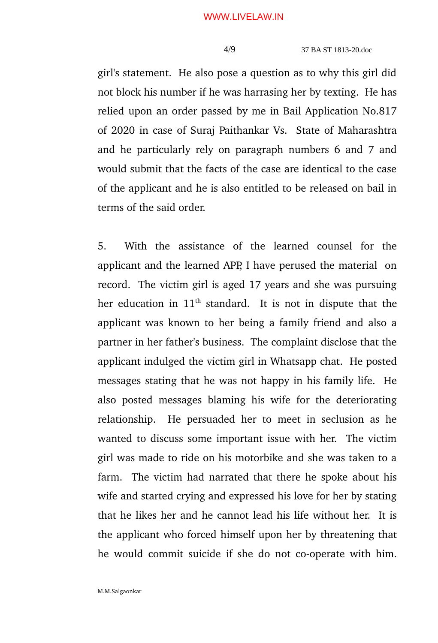girl's statement. He also pose a question as to why this girl did not block his number if he was harrasing her by texting. He has relied upon an order passed by me in Bail Application No.817 of 2020 in case of Suraj Paithankar Vs. State of Maharashtra and he particularly rely on paragraph numbers 6 and 7 and would submit that the facts of the case are identical to the case of the applicant and he is also entitled to be released on bail in terms of the said order.

5. With the assistance of the learned counsel for the applicant and the learned APP, I have perused the material on record. The victim girl is aged 17 years and she was pursuing her education in  $11<sup>th</sup>$  standard. It is not in dispute that the applicant was known to her being a family friend and also a partner in her father's business. The complaint disclose that the applicant indulged the victim girl in Whatsapp chat. He posted messages stating that he was not happy in his family life. He also posted messages blaming his wife for the deteriorating relationship. He persuaded her to meet in seclusion as he wanted to discuss some important issue with her. The victim girl was made to ride on his motorbike and she was taken to a farm. The victim had narrated that there he spoke about his wife and started crying and expressed his love for her by stating that he likes her and he cannot lead his life without her. It is the applicant who forced himself upon her by threatening that he would commit suicide if she do not co-operate with him.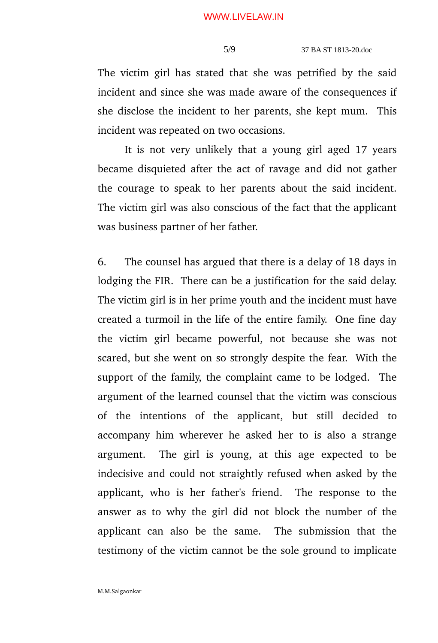The victim girl has stated that she was petrified by the said incident and since she was made aware of the consequences if she disclose the incident to her parents, she kept mum. This incident was repeated on two occasions.

It is not very unlikely that a young girl aged 17 years became disquieted after the act of ravage and did not gather the courage to speak to her parents about the said incident. The victim girl was also conscious of the fact that the applicant was business partner of her father.

6. The counsel has argued that there is a delay of 18 days in lodging the FIR. There can be a justification for the said delay. The victim girl is in her prime youth and the incident must have created a turmoil in the life of the entire family. One fine day the victim girl became powerful, not because she was not scared, but she went on so strongly despite the fear. With the support of the family, the complaint came to be lodged. The argument of the learned counsel that the victim was conscious of the intentions of the applicant, but still decided to accompany him wherever he asked her to is also a strange argument. The girl is young, at this age expected to be indecisive and could not straightly refused when asked by the applicant, who is her father's friend. The response to the answer as to why the girl did not block the number of the applicant can also be the same. The submission that the testimony of the victim cannot be the sole ground to implicate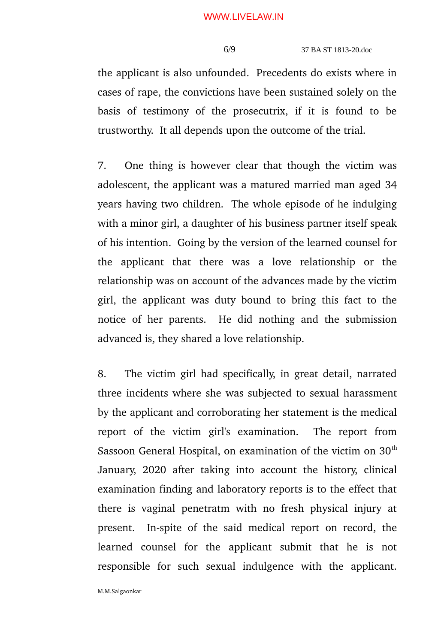#### WWW.LIVELAW.IN

### 6/9 37 BA ST 1813-20.doc

the applicant is also unfounded. Precedents do exists where in cases of rape, the convictions have been sustained solely on the basis of testimony of the prosecutrix, if it is found to be trustworthy. It all depends upon the outcome of the trial.

7. One thing is however clear that though the victim was adolescent, the applicant was a matured married man aged 34 years having two children. The whole episode of he indulging with a minor girl, a daughter of his business partner itself speak of his intention. Going by the version of the learned counsel for the applicant that there was a love relationship or the relationship was on account of the advances made by the victim girl, the applicant was duty bound to bring this fact to the notice of her parents. He did nothing and the submission advanced is, they shared a love relationship.

8. The victim girl had specifically, in great detail, narrated three incidents where she was subjected to sexual harassment by the applicant and corroborating her statement is the medical report of the victim girl's examination. The report from Sassoon General Hospital, on examination of the victim on  $30<sup>th</sup>$ January, 2020 after taking into account the history, clinical examination finding and laboratory reports is to the effect that there is vaginal penetratm with no fresh physical injury at present. In-spite of the said medical report on record, the learned counsel for the applicant submit that he is not responsible for such sexual indulgence with the applicant.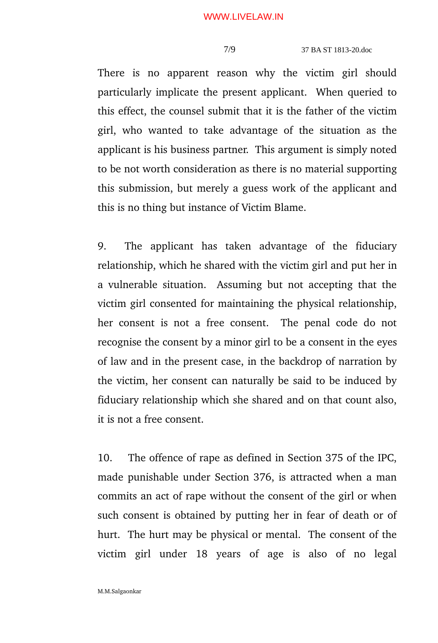There is no apparent reason why the victim girl should particularly implicate the present applicant. When queried to this effect, the counsel submit that it is the father of the victim girl, who wanted to take advantage of the situation as the applicant is his business partner. This argument is simply noted to be not worth consideration as there is no material supporting this submission, but merely a guess work of the applicant and this is no thing but instance of Victim Blame.

9. The applicant has taken advantage of the fiduciary relationship, which he shared with the victim girl and put her in a vulnerable situation. Assuming but not accepting that the victim girl consented for maintaining the physical relationship, her consent is not a free consent. The penal code do not recognise the consent by a minor girl to be a consent in the eyes of law and in the present case, in the backdrop of narration by the victim, her consent can naturally be said to be induced by fiduciary relationship which she shared and on that count also, it is not a free consent.

10. The offence of rape as defined in Section 375 of the IPC, made punishable under Section 376, is attracted when a man commits an act of rape without the consent of the girl or when such consent is obtained by putting her in fear of death or of hurt. The hurt may be physical or mental. The consent of the victim girl under 18 years of age is also of no legal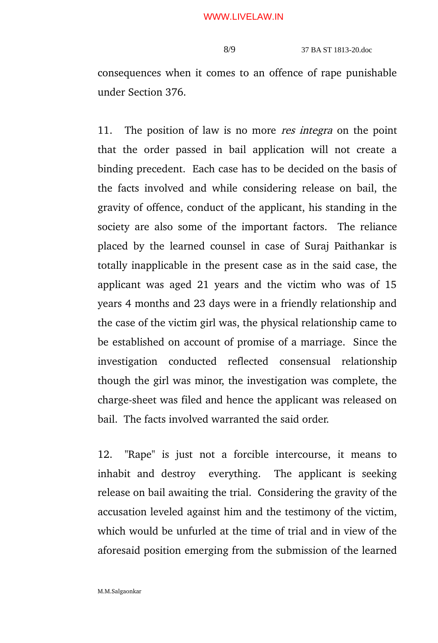consequences when it comes to an offence of rape punishable under Section 376.

11. The position of law is no more *res integra* on the point that the order passed in bail application will not create a binding precedent. Each case has to be decided on the basis of the facts involved and while considering release on bail, the gravity of offence, conduct of the applicant, his standing in the society are also some of the important factors. The reliance placed by the learned counsel in case of Suraj Paithankar is totally inapplicable in the present case as in the said case, the applicant was aged 21 years and the victim who was of 15 years 4 months and 23 days were in a friendly relationship and the case of the victim girl was, the physical relationship came to be established on account of promise of a marriage. Since the investigation conducted reflected consensual relationship though the girl was minor, the investigation was complete, the charge-sheet was filed and hence the applicant was released on bail. The facts involved warranted the said order.

12. "Rape" is just not a forcible intercourse, it means to inhabit and destroy everything. The applicant is seeking release on bail awaiting the trial. Considering the gravity of the accusation leveled against him and the testimony of the victim, which would be unfurled at the time of trial and in view of the aforesaid position emerging from the submission of the learned